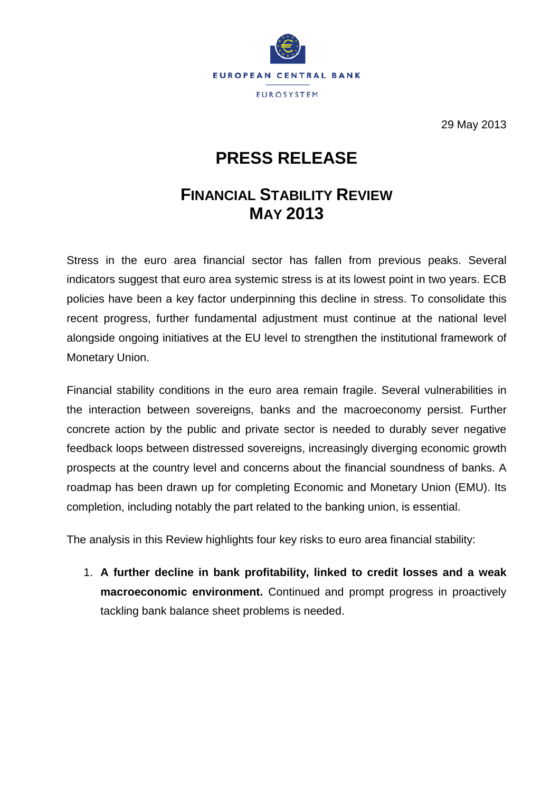

29 May 2013

## **PRESS RELEASE**

## **FINANCIAL STABILITY REVIEW MAY 2013**

Stress in the euro area financial sector has fallen from previous peaks. Several indicators suggest that euro area systemic stress is at its lowest point in two years. ECB policies have been a key factor underpinning this decline in stress. To consolidate this recent progress, further fundamental adjustment must continue at the national level alongside ongoing initiatives at the EU level to strengthen the institutional framework of Monetary Union.

Financial stability conditions in the euro area remain fragile. Several vulnerabilities in the interaction between sovereigns, banks and the macroeconomy persist. Further concrete action by the public and private sector is needed to durably sever negative feedback loops between distressed sovereigns, increasingly diverging economic growth prospects at the country level and concerns about the financial soundness of banks. A roadmap has been drawn up for completing Economic and Monetary Union (EMU). Its completion, including notably the part related to the banking union, is essential.

The analysis in this Review highlights four key risks to euro area financial stability:

1. **A further decline in bank profitability, linked to credit losses and a weak macroeconomic environment.** Continued and prompt progress in proactively tackling bank balance sheet problems is needed.